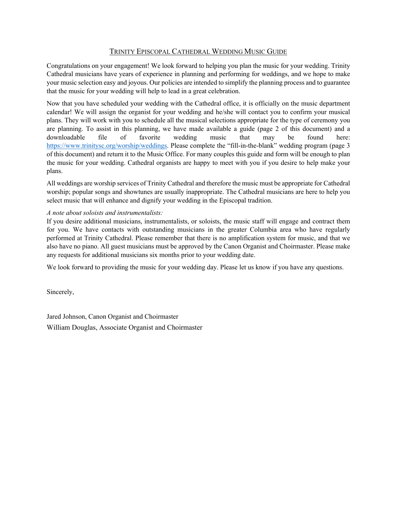# TRINITY EPISCOPAL CATHEDRAL WEDDING MUSIC GUIDE

Congratulations on your engagement! We look forward to helping you plan the music for your wedding. Trinity Cathedral musicians have years of experience in planning and performing for weddings, and we hope to make your music selection easy and joyous. Our policies are intended to simplify the planning process and to guarantee that the music for your wedding will help to lead in a great celebration.

Now that you have scheduled your wedding with the Cathedral office, it is officially on the music department calendar! We will assign the organist for your wedding and he/she will contact you to confirm your musical plans. They will work with you to schedule all the musical selections appropriate for the type of ceremony you are planning. To assist in this planning, we have made available a guide (page 2 of this document) and a downloadable file of favorite wedding music that may be found here: [https://www.trinitysc.org/worship/weddings.](https://www.trinitysc.org/worship/weddings) Please complete the "fill-in-the-blank" wedding program (page 3 of this document) and return it to the Music Office. For many couples this guide and form will be enough to plan the music for your wedding. Cathedral organists are happy to meet with you if you desire to help make your plans.

All weddings are worship services of Trinity Cathedral and therefore the music must be appropriate for Cathedral worship; popular songs and showtunes are usually inappropriate. The Cathedral musicians are here to help you select music that will enhance and dignify your wedding in the Episcopal tradition.

### *A note about soloists and instrumentalists:*

If you desire additional musicians, instrumentalists, or soloists, the music staff will engage and contract them for you. We have contacts with outstanding musicians in the greater Columbia area who have regularly performed at Trinity Cathedral. Please remember that there is no amplification system for music, and that we also have no piano. All guest musicians must be approved by the Canon Organist and Choirmaster. Please make any requests for additional musicians six months prior to your wedding date.

We look forward to providing the music for your wedding day. Please let us know if you have any questions.

Sincerely,

Jared Johnson, Canon Organist and Choirmaster William Douglas, Associate Organist and Choirmaster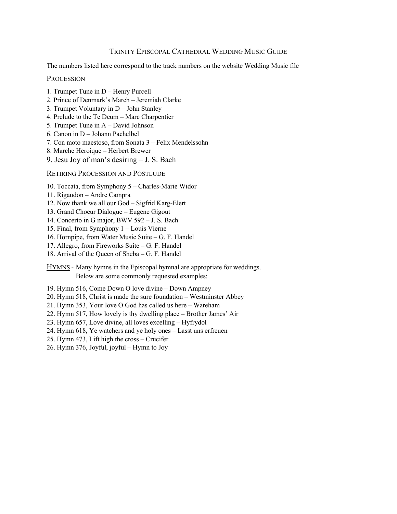# TRINITY EPISCOPAL CATHEDRAL WEDDING MUSIC GUIDE

The numbers listed here correspond to the track numbers on the website Wedding Music file

#### **PROCESSION**

- 1. Trumpet Tune in D Henry Purcell
- 2. Prince of Denmark's March Jeremiah Clarke
- 3. Trumpet Voluntary in D John Stanley
- 4. Prelude to the Te Deum Marc Charpentier
- 5. Trumpet Tune in A David Johnson
- 6. Canon in D Johann Pachelbel
- 7. Con moto maestoso, from Sonata 3 Felix Mendelssohn
- 8. Marche Heroique Herbert Brewer
- 9. Jesu Joy of man's desiring J. S. Bach

## RETIRING PROCESSION AND POSTLUDE

- 10. Toccata, from Symphony 5 Charles-Marie Widor
- 11. Rigaudon Andre Campra
- 12. Now thank we all our God Sigfrid Karg-Elert
- 13. Grand Choeur Dialogue Eugene Gigout
- 14. Concerto in G major, BWV 592 J. S. Bach
- 15. Final, from Symphony 1 Louis Vierne
- 16. Hornpipe, from Water Music Suite G. F. Handel
- 17. Allegro, from Fireworks Suite G. F. Handel
- 18. Arrival of the Queen of Sheba G. F. Handel

HYMNS - Many hymns in the Episcopal hymnal are appropriate for weddings. Below are some commonly requested examples:

- 19. Hymn 516, Come Down O love divine Down Ampney
- 20. Hymn 518, Christ is made the sure foundation Westminster Abbey
- 21. Hymn 353, Your love O God has called us here Wareham
- 22. Hymn 517, How lovely is thy dwelling place Brother James' Air
- 23. Hymn 657, Love divine, all loves excelling Hyfrydol
- 24. Hymn 618, Ye watchers and ye holy ones Lasst uns erfreuen
- 25. Hymn 473, Lift high the cross Crucifer
- 26. Hymn 376, Joyful, joyful Hymn to Joy